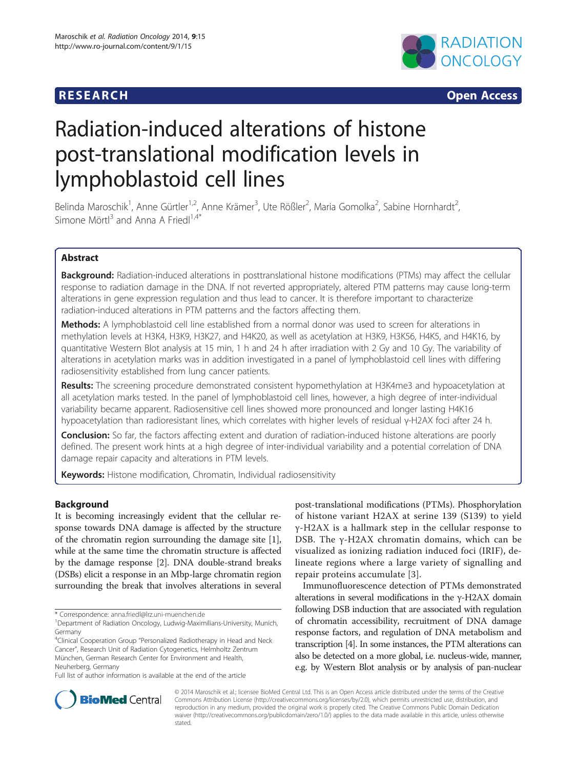## **RESEARCH RESEARCH CONSUMING ACCESS**



# Radiation-induced alterations of histone post-translational modification levels in lymphoblastoid cell lines

Belinda Maroschik<sup>1</sup>, Anne Gürtler<sup>1,2</sup>, Anne Krämer<sup>3</sup>, Ute Rößler<sup>2</sup>, Maria Gomolka<sup>2</sup>, Sabine Hornhardt<sup>2</sup> , Simone Mörtl<sup>3</sup> and Anna A Friedl<sup>1,4\*</sup>

## Abstract

**Background:** Radiation-induced alterations in posttranslational histone modifications (PTMs) may affect the cellular response to radiation damage in the DNA. If not reverted appropriately, altered PTM patterns may cause long-term alterations in gene expression regulation and thus lead to cancer. It is therefore important to characterize radiation-induced alterations in PTM patterns and the factors affecting them.

Methods: A lymphoblastoid cell line established from a normal donor was used to screen for alterations in methylation levels at H3K4, H3K9, H3K27, and H4K20, as well as acetylation at H3K9, H3K56, H4K5, and H4K16, by quantitative Western Blot analysis at 15 min, 1 h and 24 h after irradiation with 2 Gy and 10 Gy. The variability of alterations in acetylation marks was in addition investigated in a panel of lymphoblastoid cell lines with differing radiosensitivity established from lung cancer patients.

Results: The screening procedure demonstrated consistent hypomethylation at H3K4me3 and hypoacetylation at all acetylation marks tested. In the panel of lymphoblastoid cell lines, however, a high degree of inter-individual variability became apparent. Radiosensitive cell lines showed more pronounced and longer lasting H4K16 hypoacetylation than radioresistant lines, which correlates with higher levels of residual γ-H2AX foci after 24 h.

**Conclusion:** So far, the factors affecting extent and duration of radiation-induced histone alterations are poorly defined. The present work hints at a high degree of inter-individual variability and a potential correlation of DNA damage repair capacity and alterations in PTM levels.

Keywords: Histone modification, Chromatin, Individual radiosensitivity

## Background

It is becoming increasingly evident that the cellular response towards DNA damage is affected by the structure of the chromatin region surrounding the damage site [[1](#page-9-0)], while at the same time the chromatin structure is affected by the damage response [[2\]](#page-9-0). DNA double-strand breaks (DSBs) elicit a response in an Mbp-large chromatin region surrounding the break that involves alterations in several

\* Correspondence: [anna.friedl@lrz.uni-muenchen.de](mailto:anna.friedl@lrz.uni-muenchen.de) <sup>1</sup>

<sup>4</sup>Clinical Cooperation Group "Personalized Radiotherapy in Head and Neck Cancer", Research Unit of Radiation Cytogenetics, Helmholtz Zentrum München, German Research Center for Environment and Health, Neuherberg, Germany

Full list of author information is available at the end of the article

post-translational modifications (PTMs). Phosphorylation of histone variant H2AX at serine 139 (S139) to yield γ-H2AX is a hallmark step in the cellular response to DSB. The γ-H2AX chromatin domains, which can be visualized as ionizing radiation induced foci (IRIF), delineate regions where a large variety of signalling and repair proteins accumulate [\[3](#page-9-0)].

Immunofluorescence detection of PTMs demonstrated alterations in several modifications in the γ-H2AX domain following DSB induction that are associated with regulation of chromatin accessibility, recruitment of DNA damage response factors, and regulation of DNA metabolism and transcription [\[4](#page-9-0)]. In some instances, the PTM alterations can also be detected on a more global, i.e. nucleus-wide, manner, e.g. by Western Blot analysis or by analysis of pan-nuclear



© 2014 Maroschik et al.; licensee BioMed Central Ltd. This is an Open Access article distributed under the terms of the Creative Commons Attribution License [\(http://creativecommons.org/licenses/by/2.0\)](http://creativecommons.org/licenses/by/2.0), which permits unrestricted use, distribution, and reproduction in any medium, provided the original work is properly cited. The Creative Commons Public Domain Dedication waiver [\(http://creativecommons.org/publicdomain/zero/1.0/\)](http://creativecommons.org/publicdomain/zero/1.0/) applies to the data made available in this article, unless otherwise stated.

Department of Radiation Oncology, Ludwig-Maximilians-University, Munich, Germany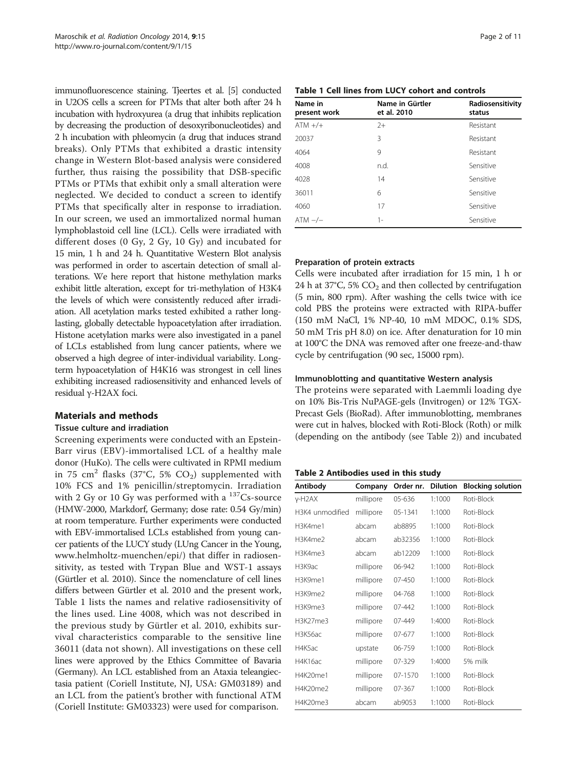immunofluorescence staining. Tjeertes et al. [\[5\]](#page-9-0) conducted in U2OS cells a screen for PTMs that alter both after 24 h incubation with hydroxyurea (a drug that inhibits replication by decreasing the production of desoxyribonucleotides) and 2 h incubation with phleomycin (a drug that induces strand breaks). Only PTMs that exhibited a drastic intensity change in Western Blot-based analysis were considered further, thus raising the possibility that DSB-specific PTMs or PTMs that exhibit only a small alteration were neglected. We decided to conduct a screen to identify PTMs that specifically alter in response to irradiation. In our screen, we used an immortalized normal human lymphoblastoid cell line (LCL). Cells were irradiated with different doses (0 Gy, 2 Gy, 10 Gy) and incubated for 15 min, 1 h and 24 h. Quantitative Western Blot analysis was performed in order to ascertain detection of small alterations. We here report that histone methylation marks exhibit little alteration, except for tri-methylation of H3K4 the levels of which were consistently reduced after irradiation. All acetylation marks tested exhibited a rather longlasting, globally detectable hypoacetylation after irradiation. Histone acetylation marks were also investigated in a panel of LCLs established from lung cancer patients, where we observed a high degree of inter-individual variability. Longterm hypoacetylation of H4K16 was strongest in cell lines exhibiting increased radiosensitivity and enhanced levels of residual γ-H2AX foci.

## Materials and methods

## Tissue culture and irradiation

Screening experiments were conducted with an Epstein-Barr virus (EBV)-immortalised LCL of a healthy male donor (HuKo). The cells were cultivated in RPMI medium in 75 cm<sup>2</sup> flasks (37°C, 5% CO<sub>2</sub>) supplemented with 10% FCS and 1% penicillin/streptomycin. Irradiation with 2 Gy or 10 Gy was performed with a  $^{137}Cs$ -source (HMW-2000, Markdorf, Germany; dose rate: 0.54 Gy/min) at room temperature. Further experiments were conducted with EBV-immortalised LCLs established from young cancer patients of the LUCY study (LUng Cancer in the Young, [www.helmholtz-muenchen/epi/\)](http://www.helmholtz-muenchen/epi/) that differ in radiosensitivity, as tested with Trypan Blue and WST-1 assays (Gürtler et al. 2010). Since the nomenclature of cell lines differs between Gürtler et al. 2010 and the present work, Table 1 lists the names and relative radiosensitivity of the lines used. Line 4008, which was not described in the previous study by Gürtler et al. 2010, exhibits survival characteristics comparable to the sensitive line 36011 (data not shown). All investigations on these cell lines were approved by the Ethics Committee of Bavaria (Germany). An LCL established from an Ataxia teleangiectasia patient (Coriell Institute, NJ, USA: GM03189) and an LCL from the patient's brother with functional ATM (Coriell Institute: GM03323) were used for comparison.

## Table 1 Cell lines from LUCY cohort and controls

| Name in<br>present work | Name in Gürtler<br>et al. 2010 | Radiosensitivity<br>status |  |
|-------------------------|--------------------------------|----------------------------|--|
| $ATM +/+$               | $2+$                           | Resistant                  |  |
| 20037                   | 3                              | Resistant                  |  |
| 4064                    | 9                              | Resistant                  |  |
| 4008                    | n.d.                           | Sensitive                  |  |
| 4028                    | 14                             | Sensitive                  |  |
| 36011                   | 6                              | Sensitive                  |  |
| 4060                    | 17                             | Sensitive                  |  |
| $ATM -/-$               | Sensitive<br>1-                |                            |  |

## Preparation of protein extracts

Cells were incubated after irradiation for 15 min, 1 h or 24 h at 37°C, 5%  $CO<sub>2</sub>$  and then collected by centrifugation (5 min, 800 rpm). After washing the cells twice with ice cold PBS the proteins were extracted with RIPA-buffer (150 mM NaCl, 1% NP-40, 10 mM MDOC, 0.1% SDS, 50 mM Tris pH 8.0) on ice. After denaturation for 10 min at 100°C the DNA was removed after one freeze-and-thaw cycle by centrifugation (90 sec, 15000 rpm).

## Immunoblotting and quantitative Western analysis

The proteins were separated with Laemmli loading dye on 10% Bis-Tris NuPAGE-gels (Invitrogen) or 12% TGX-Precast Gels (BioRad). After immunoblotting, membranes were cut in halves, blocked with Roti-Block (Roth) or milk (depending on the antibody (see Table 2)) and incubated

#### Table 2 Antibodies used in this study

| Antibody        | Company   | Order nr.  | <b>Dilution</b> | <b>Blocking solution</b> |
|-----------------|-----------|------------|-----------------|--------------------------|
| $v$ -H2AX       | millipore | 05-636     | 1:1000          | Roti-Block               |
| H3K4 unmodified | millipore | 05-1341    | 1:1000          | Roti-Block               |
| H3K4me1         | abcam     | ab8895     | 1:1000          | Roti-Block               |
| H3K4me2         | abcam     | ab32356    | 1:1000          | Roti-Block               |
| H3K4me3         | abcam     | ab12209    | 1:1000          | Roti-Block               |
| H3K9ac          | millipore | 06-942     | 1:1000          | Roti-Block               |
| H3K9me1         | millipore | 07-450     | 1:1000          | Roti-Block               |
| H3K9me2         | millipore | 04-768     | 1:1000          | Roti-Block               |
| H3K9me3         | millipore | 07-442     | 1:1000          | Roti-Block               |
| H3K27me3        | millipore | $07 - 449$ | 1:4000          | Roti-Block               |
| H3K56ac         | millipore | 07-677     | 1:1000          | Roti-Block               |
| H4K5ac          | upstate   | 06-759     | 1:1000          | Roti-Block               |
| H4K16ac         | millipore | 07-329     | 1:4000          | 5% milk                  |
| H4K20me1        | millipore | 07-1570    | 1:1000          | Roti-Block               |
| H4K20me2        | millipore | 07-367     | 1:1000          | Roti-Block               |
| H4K20me3        | abcam     | ab9053     | 1:1000          | Roti-Block               |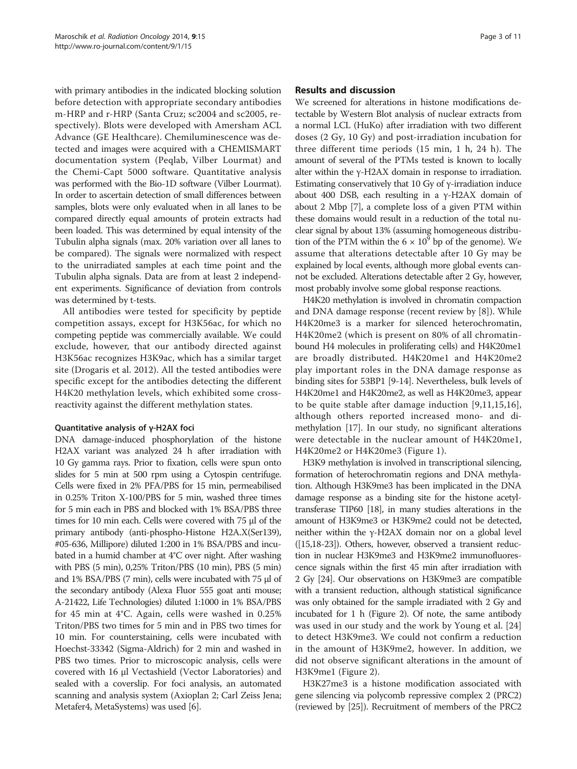with primary antibodies in the indicated blocking solution before detection with appropriate secondary antibodies m-HRP and r-HRP (Santa Cruz; sc2004 and sc2005, respectively). Blots were developed with Amersham ACL Advance (GE Healthcare). Chemiluminescence was detected and images were acquired with a CHEMISMART documentation system (Peqlab, Vilber Lourmat) and the Chemi-Capt 5000 software. Quantitative analysis was performed with the Bio-1D software (Vilber Lourmat). In order to ascertain detection of small differences between samples, blots were only evaluated when in all lanes to be compared directly equal amounts of protein extracts had been loaded. This was determined by equal intensity of the Tubulin alpha signals (max. 20% variation over all lanes to be compared). The signals were normalized with respect to the unirradiated samples at each time point and the Tubulin alpha signals. Data are from at least 2 independent experiments. Significance of deviation from controls was determined by t-tests.

All antibodies were tested for specificity by peptide competition assays, except for H3K56ac, for which no competing peptide was commercially available. We could exclude, however, that our antibody directed against H3K56ac recognizes H3K9ac, which has a similar target site (Drogaris et al. 2012). All the tested antibodies were specific except for the antibodies detecting the different H4K20 methylation levels, which exhibited some crossreactivity against the different methylation states.

#### Quantitative analysis of γ-H2AX foci

DNA damage-induced phosphorylation of the histone H2AX variant was analyzed 24 h after irradiation with 10 Gy gamma rays. Prior to fixation, cells were spun onto slides for 5 min at 500 rpm using a Cytospin centrifuge. Cells were fixed in 2% PFA/PBS for 15 min, permeabilised in 0.25% Triton X-100/PBS for 5 min, washed three times for 5 min each in PBS and blocked with 1% BSA/PBS three times for 10 min each. Cells were covered with 75 μl of the primary antibody (anti-phospho-Histone H2A.X(Ser139), #05-636, Millipore) diluted 1:200 in 1% BSA/PBS and incubated in a humid chamber at 4°C over night. After washing with PBS (5 min), 0,25% Triton/PBS (10 min), PBS (5 min) and 1% BSA/PBS (7 min), cells were incubated with 75 μl of the secondary antibody (Alexa Fluor 555 goat anti mouse; A-21422, Life Technologies) diluted 1:1000 in 1% BSA/PBS for 45 min at 4°C. Again, cells were washed in 0.25% Triton/PBS two times for 5 min and in PBS two times for 10 min. For counterstaining, cells were incubated with Hoechst-33342 (Sigma-Aldrich) for 2 min and washed in PBS two times. Prior to microscopic analysis, cells were covered with 16 μl Vectashield (Vector Laboratories) and sealed with a coverslip. For foci analysis, an automated scanning and analysis system (Axioplan 2; Carl Zeiss Jena; Metafer4, MetaSystems) was used [[6\]](#page-9-0).

### Results and discussion

We screened for alterations in histone modifications detectable by Western Blot analysis of nuclear extracts from a normal LCL (HuKo) after irradiation with two different doses (2 Gy, 10 Gy) and post-irradiation incubation for three different time periods (15 min, 1 h, 24 h). The amount of several of the PTMs tested is known to locally alter within the  $\gamma$ -H2AX domain in response to irradiation. Estimating conservatively that 10 Gy of  $\gamma$ -irradiation induce about 400 DSB, each resulting in a γ-H2AX domain of about 2 Mbp [\[7\]](#page-9-0), a complete loss of a given PTM within these domains would result in a reduction of the total nuclear signal by about 13% (assuming homogeneous distribution of the PTM within the  $6 \times 10^9$  bp of the genome). We assume that alterations detectable after 10 Gy may be explained by local events, although more global events cannot be excluded. Alterations detectable after 2 Gy, however, most probably involve some global response reactions.

H4K20 methylation is involved in chromatin compaction and DNA damage response (recent review by [\[8](#page-9-0)]). While H4K20me3 is a marker for silenced heterochromatin, H4K20me2 (which is present on 80% of all chromatinbound H4 molecules in proliferating cells) and H4K20me1 are broadly distributed. H4K20me1 and H4K20me2 play important roles in the DNA damage response as binding sites for 53BP1 [[9-14\]](#page-9-0). Nevertheless, bulk levels of H4K20me1 and H4K20me2, as well as H4K20me3, appear to be quite stable after damage induction [\[9](#page-9-0),[11,15,16](#page-9-0)], although others reported increased mono- and dimethylation [[17](#page-9-0)]. In our study, no significant alterations were detectable in the nuclear amount of H4K20me1, H4K20me2 or H4K20me3 (Figure [1\)](#page-3-0).

H3K9 methylation is involved in transcriptional silencing, formation of heterochromatin regions and DNA methylation. Although H3K9me3 has been implicated in the DNA damage response as a binding site for the histone acetyltransferase TIP60 [\[18](#page-9-0)], in many studies alterations in the amount of H3K9me3 or H3K9me2 could not be detected, neither within the γ-H2AX domain nor on a global level ([[15,18-](#page-9-0)[23](#page-10-0)]). Others, however, observed a transient reduction in nuclear H3K9me3 and H3K9me2 immunofluorescence signals within the first 45 min after irradiation with 2 Gy [\[24\]](#page-10-0). Our observations on H3K9me3 are compatible with a transient reduction, although statistical significance was only obtained for the sample irradiated with 2 Gy and incubated for 1 h (Figure [2](#page-5-0)). Of note, the same antibody was used in our study and the work by Young et al. [\[24](#page-10-0)] to detect H3K9me3. We could not confirm a reduction in the amount of H3K9me2, however. In addition, we did not observe significant alterations in the amount of H3K9me1 (Figure [2\)](#page-5-0).

H3K27me3 is a histone modification associated with gene silencing via polycomb repressive complex 2 (PRC2) (reviewed by [\[25](#page-10-0)]). Recruitment of members of the PRC2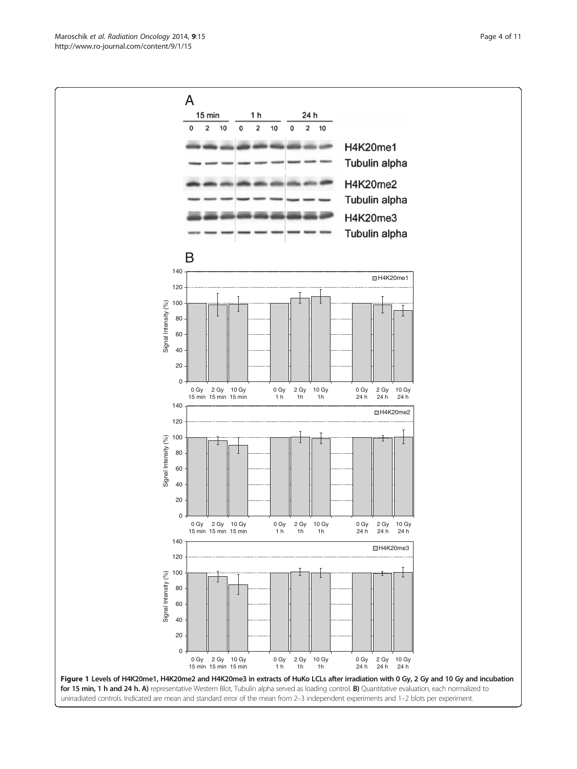Maroschik et al. Radiation Oncology 2014, 9:15 Page 4 of 11 http://www.ro-journal.com/content/9/1/15

<span id="page-3-0"></span>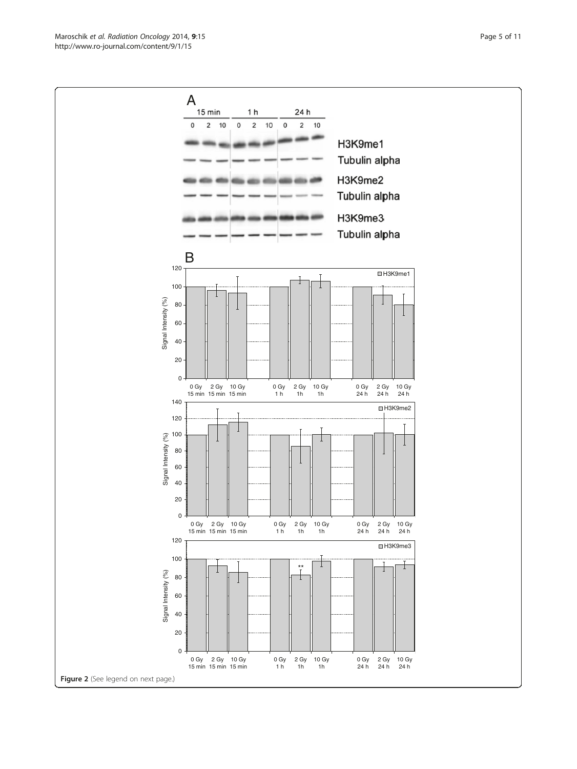Maroschik et al. Radiation Oncology 2014, 9:15 Page 5 of 11 http://www.ro-journal.com/content/9/1/15

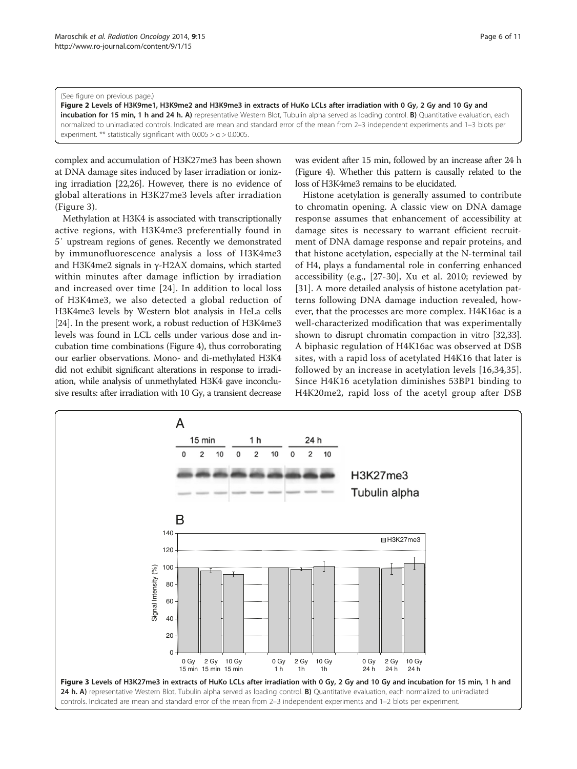#### <span id="page-5-0"></span>(See figure on previous page.)

Figure 2 Levels of H3K9me1, H3K9me2 and H3K9me3 in extracts of HuKo LCLs after irradiation with 0 Gy, 2 Gy and 10 Gy and incubation for 15 min, 1 h and 24 h. A) representative Western Blot, Tubulin alpha served as loading control. B) Quantitative evaluation, each normalized to unirradiated controls. Indicated are mean and standard error of the mean from 2–3 independent experiments and 1–3 blots per experiment. \*\* statistically significant with  $0.005 > a > 0.0005$ .

complex and accumulation of H3K27me3 has been shown at DNA damage sites induced by laser irradiation or ionizing irradiation [\[22,26\]](#page-10-0). However, there is no evidence of global alterations in H3K27me3 levels after irradiation (Figure 3).

Methylation at H3K4 is associated with transcriptionally active regions, with H3K4me3 preferentially found in 5′ upstream regions of genes. Recently we demonstrated by immunofluorescence analysis a loss of H3K4me3 and H3K4me2 signals in γ-H2AX domains, which started within minutes after damage infliction by irradiation and increased over time [[24](#page-10-0)]. In addition to local loss of H3K4me3, we also detected a global reduction of H3K4me3 levels by Western blot analysis in HeLa cells [[24](#page-10-0)]. In the present work, a robust reduction of H3K4me3 levels was found in LCL cells under various dose and incubation time combinations (Figure [4\)](#page-6-0), thus corroborating our earlier observations. Mono- and di-methylated H3K4 did not exhibit significant alterations in response to irradiation, while analysis of unmethylated H3K4 gave inconclusive results: after irradiation with 10 Gy, a transient decrease

was evident after 15 min, followed by an increase after 24 h (Figure [4\)](#page-6-0). Whether this pattern is causally related to the loss of H3K4me3 remains to be elucidated.

Histone acetylation is generally assumed to contribute to chromatin opening. A classic view on DNA damage response assumes that enhancement of accessibility at damage sites is necessary to warrant efficient recruitment of DNA damage response and repair proteins, and that histone acetylation, especially at the N-terminal tail of H4, plays a fundamental role in conferring enhanced accessibility (e.g., [\[27](#page-10-0)-[30\]](#page-10-0), Xu et al. 2010; reviewed by [[31](#page-10-0)]. A more detailed analysis of histone acetylation patterns following DNA damage induction revealed, however, that the processes are more complex. H4K16ac is a well-characterized modification that was experimentally shown to disrupt chromatin compaction in vitro [\[32,33](#page-10-0)]. A biphasic regulation of H4K16ac was observed at DSB sites, with a rapid loss of acetylated H4K16 that later is followed by an increase in acetylation levels [[16](#page-9-0)[,34,35](#page-10-0)]. Since H4K16 acetylation diminishes 53BP1 binding to H4K20me2, rapid loss of the acetyl group after DSB

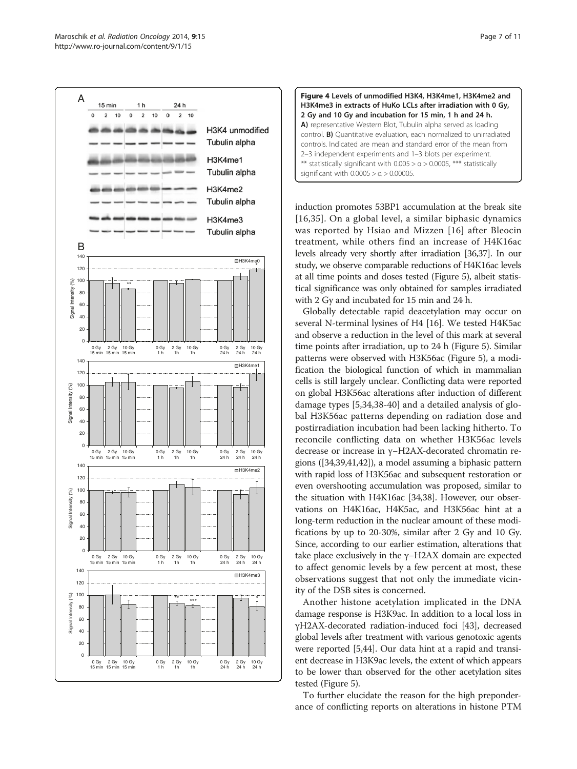

<span id="page-6-0"></span>



induction promotes 53BP1 accumulation at the break site [[16](#page-9-0),[35](#page-10-0)]. On a global level, a similar biphasic dynamics was reported by Hsiao and Mizzen [[16](#page-9-0)] after Bleocin treatment, while others find an increase of H4K16ac levels already very shortly after irradiation [[36,37](#page-10-0)]. In our study, we observe comparable reductions of H4K16ac levels at all time points and doses tested (Figure [5\)](#page-7-0), albeit statistical significance was only obtained for samples irradiated with 2 Gy and incubated for 15 min and 24 h.

Globally detectable rapid deacetylation may occur on several N-terminal lysines of H4 [\[16](#page-9-0)]. We tested H4K5ac and observe a reduction in the level of this mark at several time points after irradiation, up to 24 h (Figure [5](#page-7-0)). Similar patterns were observed with H3K56ac (Figure [5\)](#page-7-0), a modification the biological function of which in mammalian cells is still largely unclear. Conflicting data were reported on global H3K56ac alterations after induction of different damage types [[5,](#page-9-0)[34,38](#page-10-0)-[40\]](#page-10-0) and a detailed analysis of global H3K56ac patterns depending on radiation dose and postirradiation incubation had been lacking hitherto. To reconcile conflicting data on whether H3K56ac levels decrease or increase in γ−H2AX-decorated chromatin regions ([\[34,39,41,42\]](#page-10-0)), a model assuming a biphasic pattern with rapid loss of H3K56ac and subsequent restoration or even overshooting accumulation was proposed, similar to the situation with H4K16ac [[34,38](#page-10-0)]. However, our observations on H4K16ac, H4K5ac, and H3K56ac hint at a long-term reduction in the nuclear amount of these modifications by up to 20-30%, similar after 2 Gy and 10 Gy. Since, according to our earlier estimation, alterations that take place exclusively in the γ−H2AX domain are expected to affect genomic levels by a few percent at most, these observations suggest that not only the immediate vicinity of the DSB sites is concerned.

Another histone acetylation implicated in the DNA damage response is H3K9ac. In addition to a local loss in γH2AX-decorated radiation-induced foci [[43\]](#page-10-0), decreased global levels after treatment with various genotoxic agents were reported [[5](#page-9-0),[44](#page-10-0)]. Our data hint at a rapid and transient decrease in H3K9ac levels, the extent of which appears to be lower than observed for the other acetylation sites tested (Figure [5\)](#page-7-0).

To further elucidate the reason for the high preponderance of conflicting reports on alterations in histone PTM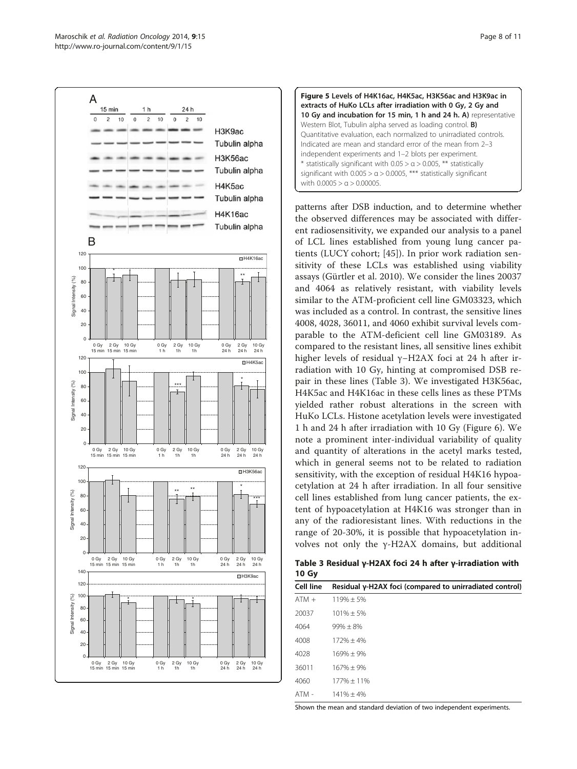<span id="page-7-0"></span>



patterns after DSB induction, and to determine whether the observed differences may be associated with different radiosensitivity, we expanded our analysis to a panel of LCL lines established from young lung cancer patients (LUCY cohort; [[45\]](#page-10-0)). In prior work radiation sensitivity of these LCLs was established using viability assays (Gürtler et al. 2010). We consider the lines 20037 and 4064 as relatively resistant, with viability levels similar to the ATM-proficient cell line GM03323, which was included as a control. In contrast, the sensitive lines 4008, 4028, 36011, and 4060 exhibit survival levels comparable to the ATM-deficient cell line GM03189. As compared to the resistant lines, all sensitive lines exhibit higher levels of residual γ−H2AX foci at 24 h after irradiation with 10 Gy, hinting at compromised DSB repair in these lines (Table 3). We investigated H3K56ac, H4K5ac and H4K16ac in these cells lines as these PTMs yielded rather robust alterations in the screen with HuKo LCLs. Histone acetylation levels were investigated 1 h and 24 h after irradiation with 10 Gy (Figure [6\)](#page-8-0). We note a prominent inter-individual variability of quality and quantity of alterations in the acetyl marks tested, which in general seems not to be related to radiation sensitivity, with the exception of residual H4K16 hypoacetylation at 24 h after irradiation. In all four sensitive cell lines established from lung cancer patients, the extent of hypoacetylation at H4K16 was stronger than in any of the radioresistant lines. With reductions in the range of 20-30%, it is possible that hypoacetylation involves not only the γ-H2AX domains, but additional

Table 3 Residual γ-H2AX foci 24 h after γ-irradiation with 10 Gy

| Cell line | Residual γ-H2AX foci (compared to unirradiated control) |
|-----------|---------------------------------------------------------|
| $ATM +$   | $119% + 5%$                                             |
| 20037     | $101\% \pm 5\%$                                         |
| 4064      | $99\% + 8\%$                                            |
| 4008      | $172\% + 4\%$                                           |
| 4028      | $169% + 9%$                                             |
| 36011     | $167% + 9%$                                             |
| 4060      | $177\% + 11\%$                                          |
| ATM -     | $141\% + 4\%$                                           |

Shown the mean and standard deviation of two independent experiments.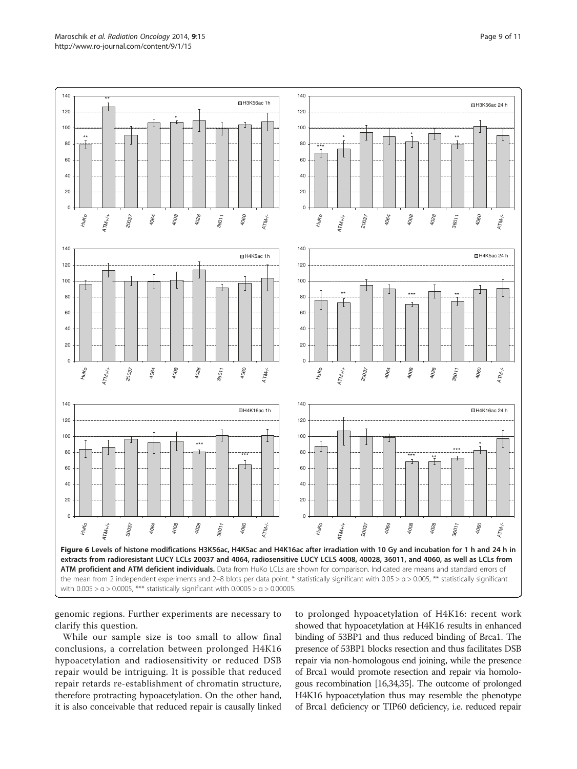<span id="page-8-0"></span>

genomic regions. Further experiments are necessary to clarify this question.

While our sample size is too small to allow final conclusions, a correlation between prolonged H4K16 hypoacetylation and radiosensitivity or reduced DSB repair would be intriguing. It is possible that reduced repair retards re-establishment of chromatin structure, therefore protracting hypoacetylation. On the other hand, it is also conceivable that reduced repair is causally linked

to prolonged hypoacetylation of H4K16: recent work showed that hypoacetylation at H4K16 results in enhanced binding of 53BP1 and thus reduced binding of Brca1. The presence of 53BP1 blocks resection and thus facilitates DSB repair via non-homologous end joining, while the presence of Brca1 would promote resection and repair via homologous recombination [\[16](#page-9-0)[,34,35](#page-10-0)]. The outcome of prolonged H4K16 hypoacetylation thus may resemble the phenotype of Brca1 deficiency or TIP60 deficiency, i.e. reduced repair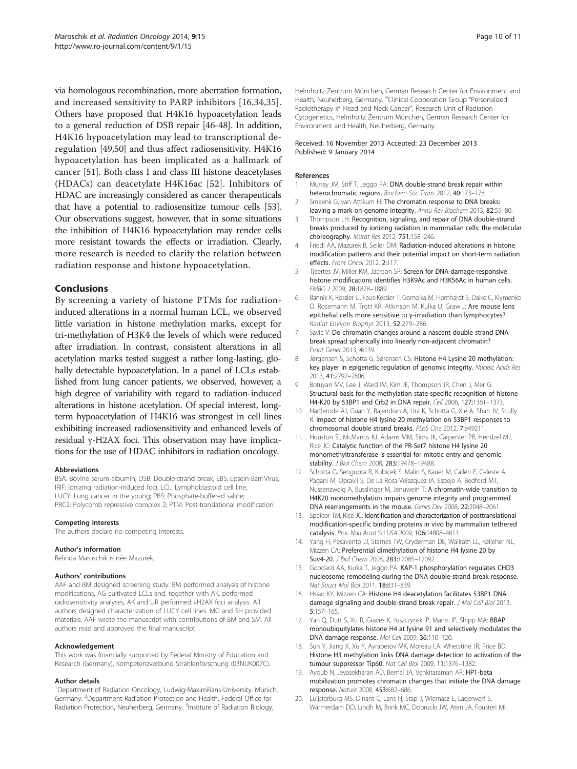<span id="page-9-0"></span>via homologous recombination, more aberration formation, and increased sensitivity to PARP inhibitors [16[,34,35](#page-10-0)]. Others have proposed that H4K16 hypoacetylation leads to a general reduction of DSB repair [\[46-48\]](#page-10-0). In addition, H4K16 hypoacetylation may lead to transcriptional deregulation [\[49,50\]](#page-10-0) and thus affect radiosensitivity. H4K16 hypoacetylation has been implicated as a hallmark of cancer [\[51\]](#page-10-0). Both class I and class III histone deacetylases (HDACs) can deacetylate H4K16ac [[52\]](#page-10-0). Inhibitors of HDAC are increasingly considered as cancer therapeuticals that have a potential to radiosensitize tumour cells [\[53](#page-10-0)]. Our observations suggest, however, that in some situations the inhibition of H4K16 hypoacetylation may render cells more resistant towards the effects or irradiation. Clearly, more research is needed to clarify the relation between radiation response and histone hypoacetylation.

## Conclusions

By screening a variety of histone PTMs for radiationinduced alterations in a normal human LCL, we observed little variation in histone methylation marks, except for tri-methylation of H3K4 the levels of which were reduced after irradiation. In contrast, consistent alterations in all acetylation marks tested suggest a rather long-lasting, globally detectable hypoacetylation. In a panel of LCLs established from lung cancer patients, we observed, however, a high degree of variability with regard to radiation-induced alterations in histone acetylation. Of special interest, longterm hypoacetylation of H4K16 was strongest in cell lines exhibiting increased radiosensitivity and enhanced levels of residual γ-H2AX foci. This observation may have implications for the use of HDAC inhibitors in radiation oncology.

#### Abbreviations

BSA: Bovine serum albumin; DSB: Double-strand break; EBS: Epsein-Barr-Virus; IRIF: Ionizing radiation-induced foci; LCL: Lymphoblastoid cell line; LUCY: Lung cancer in the young; PBS: Phosphate-buffered saline; PRC2: Polycomb repressive complex 2; PTM: Post-translational modification.

#### Competing interests

The authors declare no competing interests.

#### Author's information

Belinda Maroschik is née Mazurek.

#### Authors' contributions

AAF and BM designed screening study. BM performed analysis of histone modifications, AG cultivated LCLs and, together with AK, performed radiosensitivity analyses, AK and UR performed γH2AX foci analysis. All authors designed characterization of LUCY cell lines. MG and SH provided materials. AAF wrote the manuscript with contributions of BM and SM. All authors read and approved the final manuscript.

#### Acknowledgement

This work was financially supported by Federal Ministry of Education and Research (Germany), Kompetenzverbund Strahlenforschung (03NUK007C).

#### Author details

<sup>1</sup>Department of Radiation Oncology, Ludwig-Maximilians-University, Munich, Germany. <sup>2</sup>Department Radiation Protection and Health, Federal Office for Radiation Protection, Neuherberg, Germany. <sup>3</sup>Institute of Radiation Biology,

Helmholtz Zentrum München, German Research Center for Environment and Health, Neuherberg, Germany. <sup>4</sup>Clinical Cooperation Group "Personalized Radiotherapy in Head and Neck Cancer", Research Unit of Radiation Cytogenetics, Helmholtz Zentrum München, German Research Center for Environment and Health, Neuherberg, Germany.

#### Received: 16 November 2013 Accepted: 23 December 2013 Published: 9 January 2014

#### References

- 1. Murray JM, Stiff T, Jeggo PA: DNA double-strand break repair within heterochromatic regions. Biochem Soc Trans 2012, 40:173–178.
- 2. Smeenk G, van Attikum H: The chromatin response to DNA breaks: leaving a mark on genome integrity. Annu Rev Biochem 2013, 82:55–80.
- 3. Thompson LH: Recognition, signaling, and repair of DNA double-strand breaks produced by ionizing radiation in mammalian cells: the molecular choreography. Mutat Res 2012, 751:158–246.
- 4. Friedl AA, Mazurek B, Seiler DM: Radiation-induced alterations in histone modification patterns and their potential impact on short-term radiation effects. Front Oncol 2012, 2:117.
- 5. Tjeertes JV, Miller KM, Jackson SP: Screen for DNA-damage-responsive histone modifications identifies H3K9Ac and H3K56Ac in human cells. EMBO J 2009, 28:1878–1889.
- 6. Bannik K, Rössler U, Faus-Kessler T, Gomolka M, Hornhardt S, Dalke C, Klymenko O, Rosemann M, Trott KR, Atkinson M, Kulka U, Graw J: Are mouse lens epithelial cells more sensitive to γ-irradiation than lymphocytes? Radiat Environ Biophys 2013, 52:279–286.
- 7. Savic V: Do chromatin changes around a nascent double strand DNA break spread spherically into linearly non-adjacent chromatin? Front Genet 2013, 4:139.
- 8. Jørgensen S, Schotta G, Sørensen CS: Histone H4 Lysine 20 methylation: key player in epigenetic regulation of genomic integrity. Nucleic Acids Res 2013, 41:2797–2806.
- 9. Botuyan MV, Lee J, Ward IM, Kim JE, Thompson JR, Chen J, Mer G: Structural basis for the methylation state-specific recognition of histone H4-K20 by 53BP1 and Crb2 in DNA repair. Cell 2006, 127:1361–1373.
- 10. Hartlerode AJ, Guan Y, Rajendran A, Ura K, Schotta G, Xie A, Shah JV, Scully R: Impact of histone H4 lysine 20 methylation on 53BP1 responses to chromosomal double strand breaks. PLoS One 2012, 7:e49211.
- 11. Houston SI, McManus KJ, Adams MM, Sims JK, Carpenter PB, Hendzel MJ, Rice JC: Catalytic function of the PR-Set7 histone H4 lysine 20 monomethyltransferase is essential for mitotic entry and genomic stability. J Biol Chem 2008, 283:19478–19488.
- 12. Schotta G, Sengupta R, Kubicek S, Malin S, Kauer M, Callén E, Celeste A, Pagani M, Opravil S, De La Rosa-Velazquez IA, Espejo A, Bedford MT, Nussenzweig A, Busslinger M, Jenuwein T: A chromatin-wide transition to H4K20 monomethylation impairs genome integrity and programmed DNA rearrangements in the mouse. Genes Dev 2008, 22:2048–2061.
- 13. Spektor TM, Rice JC: Identification and characterization of posttranslational modification-specific binding proteins in vivo by mammalian tethered catalysis. Proc Natl Acad Sci USA 2009, 106:14808–4813.
- 14. Yang H, Pesavento JJ, Starnes TW, Cryderman DE, Wallrath LL, Kelleher NL, Mizzen CA: Preferential dimethylation of histone H4 lysine 20 by Suv4-20. J Biol Chem 2008, 283:12085–12092.
- 15. Goodarzi AA, Kurka T, Jeggo PA: KAP-1 phosphorylation regulates CHD3 nucleosome remodeling during the DNA double-strand break response. Nat Struct Mol Biol 2011, 18:831–839.
- 16. Hsiao KY, Mizzen CA: Histone H4 deacetylation facilitates 53BP1 DNA damage signaling and double-strand break repair. J Mol Cell Biol 2013, 5:157–165.
- 17. Yan Q, Dutt S, Xu R, Graves K, Juszczynski P, Manis JP, Shipp MA: BBAP monoubiquitylates histone H4 at lysine 91 and selectively modulates the DNA damage response. Mol Cell 2009, 36:110–120.
- 18. Sun Y, Jiang X, Xu Y, Ayrapetov MK, Moreau LA, Whetstine JR, Price BD: Histone H3 methylation links DNA damage detection to activation of the tumour suppressor Tip60. Nat Cell Biol 2009, 11:1376–1382.
- 19. Ayoub N, Jeyasekharan AD, Bernal JA, Venkitaraman AR: HP1-beta mobilization promotes chromatin changes that initiate the DNA damage response. Nature 2008, 453:682–686.
- 20. Luijsterburg MS, Dinant C, Lans H, Stap J, Wiernasz E, Lagerwerf S, Warmerdam DO, Lindh M, Brink MC, Dobrucki JW, Aten JA, Fousteri MI,